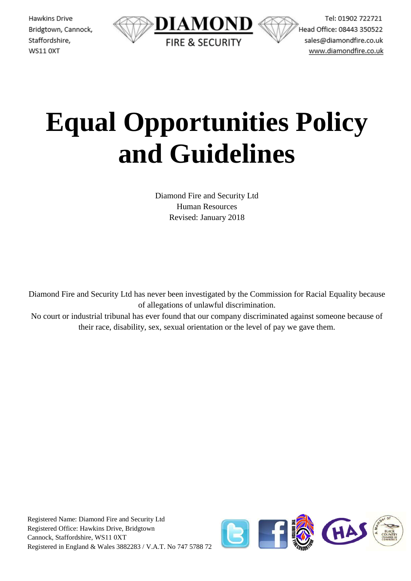

Tel: 01902 722721 Head Office: 08443 350522 sales@diamondfire.co.uk www.diamondfire.co.uk

# **Equal Opportunities Policy and Guidelines**

Diamond Fire and Security Ltd Human Resources Revised: January 2018

Diamond Fire and Security Ltd has never been investigated by the Commission for Racial Equality because of allegations of unlawful discrimination.

No court or industrial tribunal has ever found that our company discriminated against someone because of their race, disability, sex, sexual orientation or the level of pay we gave them.

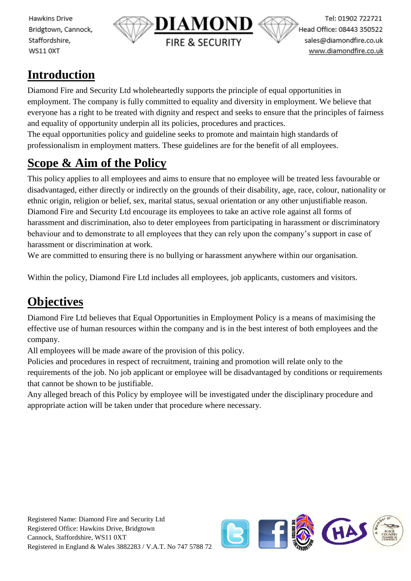

Tel: 01902 722721 Head Office: 08443 350522 sales@diamondfire.co.uk www.diamondfire.co.uk

#### **Introduction**

Diamond Fire and Security Ltd wholeheartedly supports the principle of equal opportunities in employment. The company is fully committed to equality and diversity in employment. We believe that everyone has a right to be treated with dignity and respect and seeks to ensure that the principles of fairness and equality of opportunity underpin all its policies, procedures and practices.

The equal opportunities policy and guideline seeks to promote and maintain high standards of professionalism in employment matters. These guidelines are for the benefit of all employees.

#### **Scope & Aim of the Policy**

This policy applies to all employees and aims to ensure that no employee will be treated less favourable or disadvantaged, either directly or indirectly on the grounds of their disability, age, race, colour, nationality or ethnic origin, religion or belief, sex, marital status, sexual orientation or any other unjustifiable reason. Diamond Fire and Security Ltd encourage its employees to take an active role against all forms of harassment and discrimination, also to deter employees from participating in harassment or discriminatory behaviour and to demonstrate to all employees that they can rely upon the company's support in case of harassment or discrimination at work.

We are committed to ensuring there is no bullying or harassment anywhere within our organisation.

Within the policy, Diamond Fire Ltd includes all employees, job applicants, customers and visitors.

## **Objectives**

Diamond Fire Ltd believes that Equal Opportunities in Employment Policy is a means of maximising the effective use of human resources within the company and is in the best interest of both employees and the company.

All employees will be made aware of the provision of this policy.

Policies and procedures in respect of recruitment, training and promotion will relate only to the requirements of the job. No job applicant or employee will be disadvantaged by conditions or requirements that cannot be shown to be justifiable.

Any alleged breach of this Policy by employee will be investigated under the disciplinary procedure and appropriate action will be taken under that procedure where necessary.

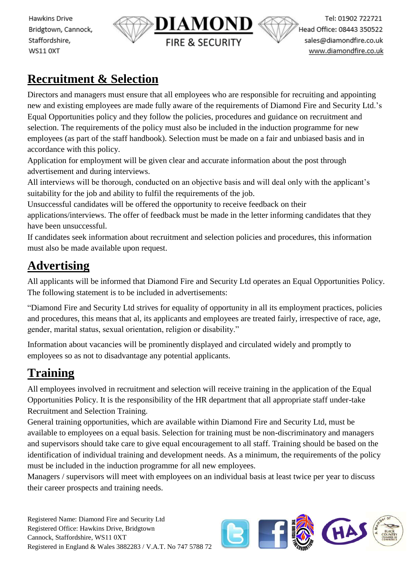

Tel: 01902 722721 Head Office: 08443 350522 sales@diamondfire.co.uk www.diamondfire.co.uk

#### **Recruitment & Selection**

Directors and managers must ensure that all employees who are responsible for recruiting and appointing new and existing employees are made fully aware of the requirements of Diamond Fire and Security Ltd.'s Equal Opportunities policy and they follow the policies, procedures and guidance on recruitment and selection. The requirements of the policy must also be included in the induction programme for new employees (as part of the staff handbook). Selection must be made on a fair and unbiased basis and in accordance with this policy.

Application for employment will be given clear and accurate information about the post through advertisement and during interviews.

All interviews will be thorough, conducted on an objective basis and will deal only with the applicant's suitability for the job and ability to fulfil the requirements of the job.

Unsuccessful candidates will be offered the opportunity to receive feedback on their

applications/interviews. The offer of feedback must be made in the letter informing candidates that they have been unsuccessful.

If candidates seek information about recruitment and selection policies and procedures, this information must also be made available upon request.

### **Advertising**

All applicants will be informed that Diamond Fire and Security Ltd operates an Equal Opportunities Policy. The following statement is to be included in advertisements:

"Diamond Fire and Security Ltd strives for equality of opportunity in all its employment practices, policies and procedures, this means that al, its applicants and employees are treated fairly, irrespective of race, age, gender, marital status, sexual orientation, religion or disability."

Information about vacancies will be prominently displayed and circulated widely and promptly to employees so as not to disadvantage any potential applicants.

## **Training**

All employees involved in recruitment and selection will receive training in the application of the Equal Opportunities Policy. It is the responsibility of the HR department that all appropriate staff under-take Recruitment and Selection Training.

General training opportunities, which are available within Diamond Fire and Security Ltd, must be available to employees on a equal basis. Selection for training must be non-discriminatory and managers and supervisors should take care to give equal encouragement to all staff. Training should be based on the identification of individual training and development needs. As a minimum, the requirements of the policy must be included in the induction programme for all new employees.

Managers / supervisors will meet with employees on an individual basis at least twice per year to discuss their career prospects and training needs.

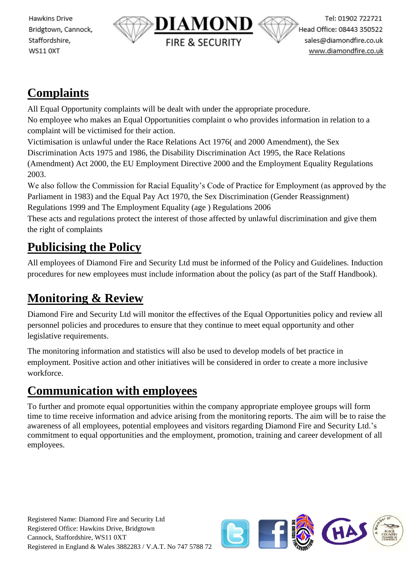

#### **Complaints**

All Equal Opportunity complaints will be dealt with under the appropriate procedure. No employee who makes an Equal Opportunities complaint o who provides information in relation to a complaint will be victimised for their action.

Victimisation is unlawful under the Race Relations Act 1976( and 2000 Amendment), the Sex Discrimination Acts 1975 and 1986, the Disability Discrimination Act 1995, the Race Relations (Amendment) Act 2000, the EU Employment Directive 2000 and the Employment Equality Regulations 2003.

We also follow the Commission for Racial Equality's Code of Practice for Employment (as approved by the Parliament in 1983) and the Equal Pay Act 1970, the Sex Discrimination (Gender Reassignment) Regulations 1999 and The Employment Equality (age ) Regulations 2006

These acts and regulations protect the interest of those affected by unlawful discrimination and give them the right of complaints

## **Publicising the Policy**

All employees of Diamond Fire and Security Ltd must be informed of the Policy and Guidelines. Induction procedures for new employees must include information about the policy (as part of the Staff Handbook).

# **Monitoring & Review**

Diamond Fire and Security Ltd will monitor the effectives of the Equal Opportunities policy and review all personnel policies and procedures to ensure that they continue to meet equal opportunity and other legislative requirements.

The monitoring information and statistics will also be used to develop models of bet practice in employment. Positive action and other initiatives will be considered in order to create a more inclusive workforce.

#### **Communication with employees**

To further and promote equal opportunities within the company appropriate employee groups will form time to time receive information and advice arising from the monitoring reports. The aim will be to raise the awareness of all employees, potential employees and visitors regarding Diamond Fire and Security Ltd.'s commitment to equal opportunities and the employment, promotion, training and career development of all employees.